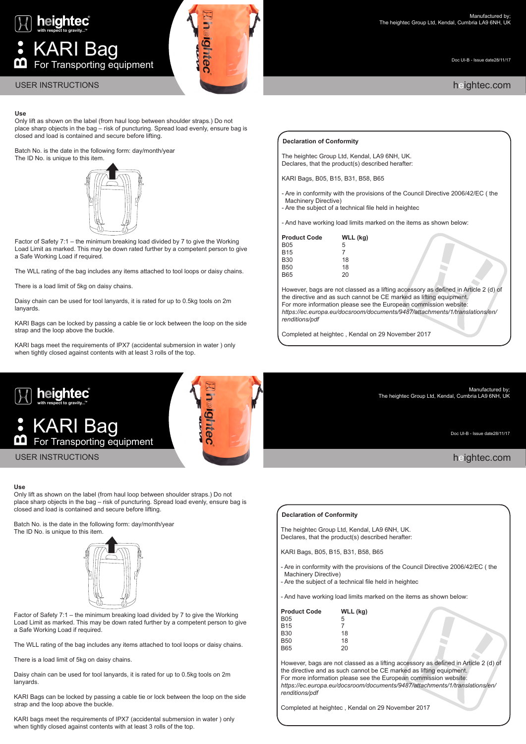

USER INSTRUCTIONS

# **a KARI Bag** Doc UI-B - Issue date28/11/17 For Transporting equipment



## heightec.com

**Use**

Only lift as shown on the label (from haul loop between shoulder straps.) Do not place sharp objects in the bag – risk of puncturing. Spread load evenly, ensure bag is closed and load is contained and secure before lifting.

Batch No. is the date in the following form: day/month/year The ID No. is unique to this item.



Factor of Safety 7:1 – the minimum breaking load divided by 7 to give the Working Load Limit as marked. This may be down rated further by a competent person to give a Safe Working Load if required.

The WLL rating of the bag includes any items attached to tool loops or daisy chains.

There is a load limit of 5kg on daisy chains.

Daisy chain can be used for tool lanyards, it is rated for up to 0.5kg tools on 2m lanyards.

KARI Bags can be locked by passing a cable tie or lock between the loop on the side strap and the loop above the buckle

KARI bags meet the requirements of IPX7 (accidental submersion in water ) only when tightly closed against contents with at least 3 rolls of the top.



#### **Use**

Only lift as shown on the label (from haul loop between shoulder straps.) Do not place sharp objects in the bag – risk of puncturing. Spread load evenly, ensure bag is closed and load is contained and secure before lifting.

Batch No. is the date in the following form: day/month/year The ID No. is unique to this item.



Factor of Safety 7:1 – the minimum breaking load divided by 7 to give the Working Load Limit as marked. This may be down rated further by a competent person to give a Safe Working Load if required.

The WLL rating of the bag includes any items attached to tool loops or daisy chains.

There is a load limit of 5kg on daisy chains.

Daisy chain can be used for tool lanyards, it is rated for up to 0.5kg tools on 2m lanyards.

KARI Bags can be locked by passing a cable tie or lock between the loop on the side strap and the loop above the buckle.

KARI bags meet the requirements of IPX7 (accidental submersion in water ) only when tightly closed against contents with at least 3 rolls of the top.

#### **Declaration of Conformity**

The heightec Group Ltd, Kendal, LA9 6NH, UK. Declares, that the product(s) described herafter:

KARI Bags, B05, B15, B31, B58, B65

- Are in conformity with the provisions of the Council Directive 2006/42/EC (the Machinery Directive)
- Are the subject of a technical file held in heightec

- And have working load limits marked on the items as shown below:

| <b>Product Code</b> | WLL (kg) |
|---------------------|----------|
| <b>B05</b>          | 5        |
| <b>B15</b>          | 7        |
| <b>B30</b>          | 18       |
| <b>B50</b>          | 18       |
| <b>B65</b>          | 20       |

However, bags are not classed as a lifting accessory as defined in Article 2 (d) of the directive and as such cannot be CE marked as lifting equipment. For more information please see the European commission website: *https://ec.europa.eu/docsroom/documents/9487/attachments/1/translations/en/ renditions/pdf*

Completed at heightec , Kendal on 29 November 2017

Manufactured by; The heightec Group Ltd, Kendal, Cumbria LA9 6NH, UK

Doc UI-B - Issue date28/11/17

heightec.com

### **Declaration of Conformity**

The heightec Group Ltd, Kendal, LA9 6NH, UK. Declares, that the product(s) described herafter:

KARI Bags, B05, B15, B31, B58, B65

- Are in conformity with the provisions of the Council Directive 2006/42/EC ( the Machinery Directive)
- Are the subject of a technical file held in heightec

- And have working load limits marked on the items as shown below:

| <b>Product Code</b> | WLL (kg) |
|---------------------|----------|
| <b>B05</b>          | 5        |
| <b>B15</b>          | 7        |
| <b>B30</b>          | 18       |
| <b>B50</b>          | 18       |
| <b>B65</b>          | 20       |

However, bags are not classed as a lifting accessory as defined in Article 2 (d) of the directive and as such cannot be CE marked as lifting equipment. For more information please see the European commission website: *https://ec.europa.eu/docsroom/documents/9487/attachments/1/translations/en/ renditions/pdf*

Completed at heightec , Kendal on 29 November 2017